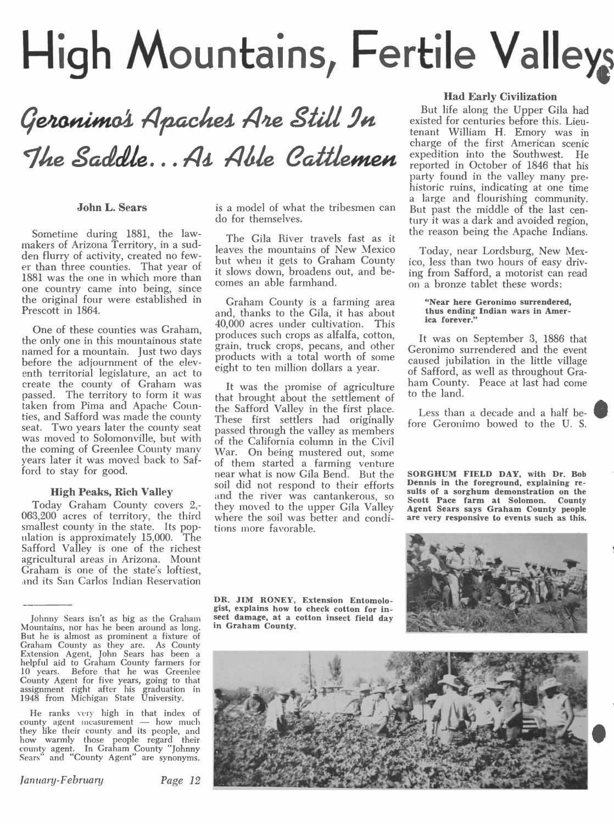# High Mountains, Fertile Valleys

## Geronimo's Apaches Are Still In The Saddle... As Able Cattlemen expedition into the Southwest. He

## John L. Sears

Sometime during 1881, the lawmakers of Arizona Territory, in a sudden flurry of activity, created no fewer than three counties. That year of 1881 was the one in which more than one country came into being, since the original four were established in Graham County is a farming area Prescott in 1864.

the only one in this mountainous state named for a mountain. Just two days<br>before the adjournment of the elev-<br>enth territorial legislature, an act to<br>eight to ten million dollars a year. create the county of Graham was passed. The territory to form it was taken from Pima and Apache Counties, and Safford was made the county These first settlers had originally seat. Two years later the county seat passed through the valley as members was moved to Solomonville, but with<br>the coming of Greenlee County many the coming of Greenlee County many War. On being mustered out, some<br>years later it was moved back to Saf- of them started a farming venture<br>ford to stay for good.

Today Graham County covers 2,- they moved to the upper Gila Valley 063,200 acres of territory, the third where the soil was better and condismallest county in the state. Its population is approximately 15,000. The Safford Valley is one of the richest agricultural areas in Arizona. Mount Graham is one of the state's loftiest, and its San Carlos Indian Reservation

He ranks very high in that index of county agent measurement  $-$  how much they like their county and its people, and how warmly those people regard their county agent. In Graham County "Johnny Sears" and "County Agent" are synonyms.

January -February Page 12

do for themselves.

The Gila River travels fast as it leaves the mountains of New Mexico but when it gets to Graham County it slows down, broadens out, and becomes an able farmhand.

One of these counties was Graham,  $\frac{40,000}{\text{products}}$  and  $\frac{1}{\text{index}}$  cultivation. This and, thanks to the Gila, it has about thus ending Indian wars in Amer-40,000 acres under cultivation. This grain, truck crops, pecans, and other eight to ten million dollars a year.

High Peaks, Rich Valley soil did not respond to their efforts It was the promise of agriculture that brought about the settlement of the Safford Valley in the first place. of the California column in the Civil of them started a farming venture near what is now Gila Bend. But the soft did not respond to their efforts sults of a sorghum demonstration on the and the river was cantankerous, so scott Pace farm at Solomon. County they moved to the upper Gila Valley Agent Sears says Graham County people tions more favorable.

DR. JIM RONEY, Extension Entomologist, explains how to check cotton for in-

in Graham County.

Had Early Civilization

is a model of what the tribesmen can<br>But past the middle of the last cen-But life along the Upper Gila had existed for centuries before this. Lieutenant William H. Emory was in charge of the first American scenic expedition into the Southwest. He historic ruins, indicating at one time tury it was a dark and avoided region, the reason being the Apache Indians.

> Today, near Lordsburg, New Mexico, less than two hours of easy driving from Safford, a motorist can read on a bronze tablet these words:

## "Near here Geronimo surrendered, ica forever."

It was on September 3, 1886 that Geronimo surrendered and the event caused jubilation in the little village ham County. Peace at last had come to the land.

Less than a decade and a half before Geronimo bowed to the U. S.

SORGHUM FIELD DAY, with Dr. Bob Dennis in the foreground, explaining reare very responsive to events such as this.





Johnny Sears isn't as big as the Graham sect damage, at a cotton insect field day<br>Mountains, nor has he been around as long. In Graham County.<br>But he is almost as prominent a fixture of<br>Graham County as they are. As County 10 years. Before that he was Greenlee County Agent for five years, going to that assignment right after his graduation in<br>1948 from Michigan State University.